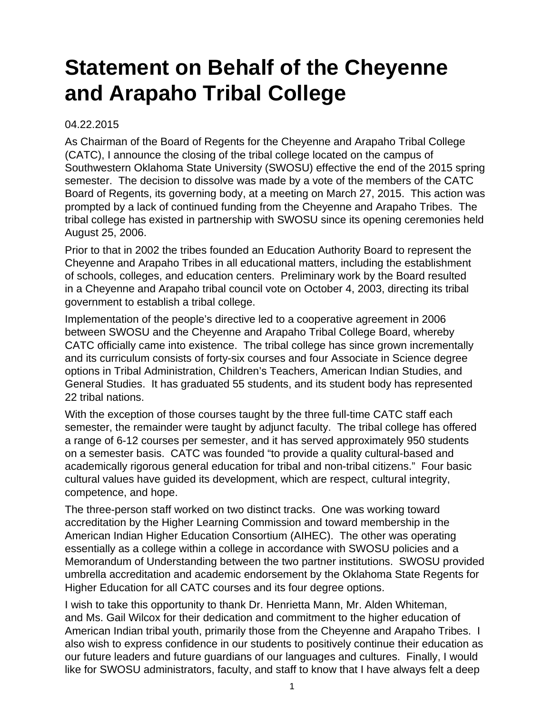## **Statement on Behalf of the Cheyenne and Arapaho Tribal College**

## 04.22.2015

As Chairman of the Board of Regents for the Cheyenne and Arapaho Tribal College (CATC), I announce the closing of the tribal college located on the campus of Southwestern Oklahoma State University (SWOSU) effective the end of the 2015 spring semester. The decision to dissolve was made by a vote of the members of the CATC Board of Regents, its governing body, at a meeting on March 27, 2015. This action was prompted by a lack of continued funding from the Cheyenne and Arapaho Tribes. The tribal college has existed in partnership with SWOSU since its opening ceremonies held August 25, 2006.

Prior to that in 2002 the tribes founded an Education Authority Board to represent the Cheyenne and Arapaho Tribes in all educational matters, including the establishment of schools, colleges, and education centers. Preliminary work by the Board resulted in a Cheyenne and Arapaho tribal council vote on October 4, 2003, directing its tribal government to establish a tribal college.

Implementation of the people's directive led to a cooperative agreement in 2006 between SWOSU and the Cheyenne and Arapaho Tribal College Board, whereby CATC officially came into existence. The tribal college has since grown incrementally and its curriculum consists of forty-six courses and four Associate in Science degree options in Tribal Administration, Children's Teachers, American Indian Studies, and General Studies. It has graduated 55 students, and its student body has represented 22 tribal nations.

With the exception of those courses taught by the three full-time CATC staff each semester, the remainder were taught by adjunct faculty. The tribal college has offered a range of 6-12 courses per semester, and it has served approximately 950 students on a semester basis. CATC was founded "to provide a quality cultural-based and academically rigorous general education for tribal and non-tribal citizens." Four basic cultural values have guided its development, which are respect, cultural integrity, competence, and hope.

The three-person staff worked on two distinct tracks. One was working toward accreditation by the Higher Learning Commission and toward membership in the American Indian Higher Education Consortium (AIHEC). The other was operating essentially as a college within a college in accordance with SWOSU policies and a Memorandum of Understanding between the two partner institutions. SWOSU provided umbrella accreditation and academic endorsement by the Oklahoma State Regents for Higher Education for all CATC courses and its four degree options.

I wish to take this opportunity to thank Dr. Henrietta Mann, Mr. Alden Whiteman, and Ms. Gail Wilcox for their dedication and commitment to the higher education of American Indian tribal youth, primarily those from the Cheyenne and Arapaho Tribes. I also wish to express confidence in our students to positively continue their education as our future leaders and future guardians of our languages and cultures. Finally, I would like for SWOSU administrators, faculty, and staff to know that I have always felt a deep